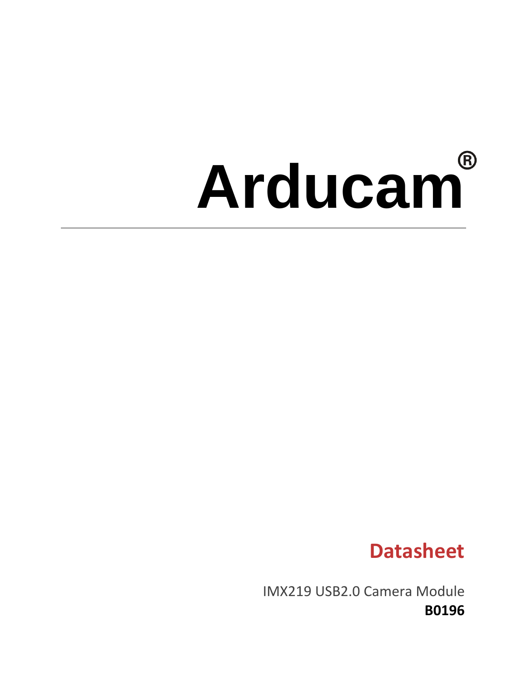# **Arducam**

# **Datasheet**

IMX219 USB2.0 Camera Module **B0196**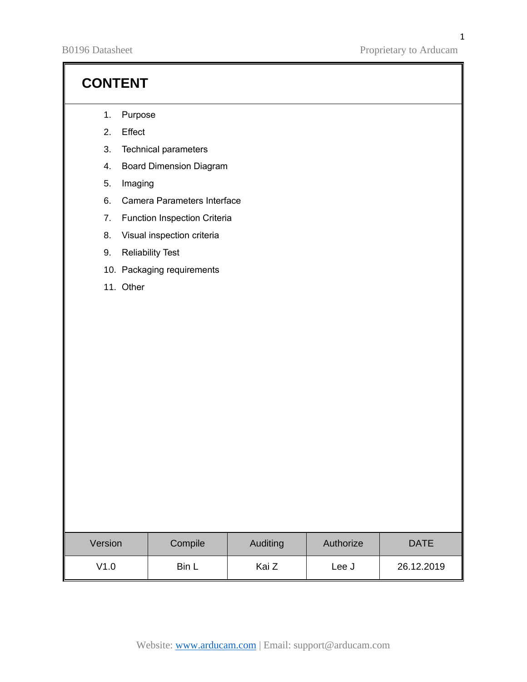B0196 Datasheet Proprietary to Arducam

# **CONTENT**

- 1. Purpose
- 2. Effect
- 3. Technical parameters
- 4. Board Dimension Diagram
- 5. Imaging
- 6. Camera Parameters Interface
- 7. Function Inspection Criteria
- 8. Visual inspection criteria
- 9. Reliability Test
- 10. Packaging requirements
- 11. Other

| Version | Compile | <b>Auditing</b> | Authorize | <b>DATE</b> |
|---------|---------|-----------------|-----------|-------------|
| V1.0    | Bin L   | Kai Z           | Lee J     | 26.12.2019  |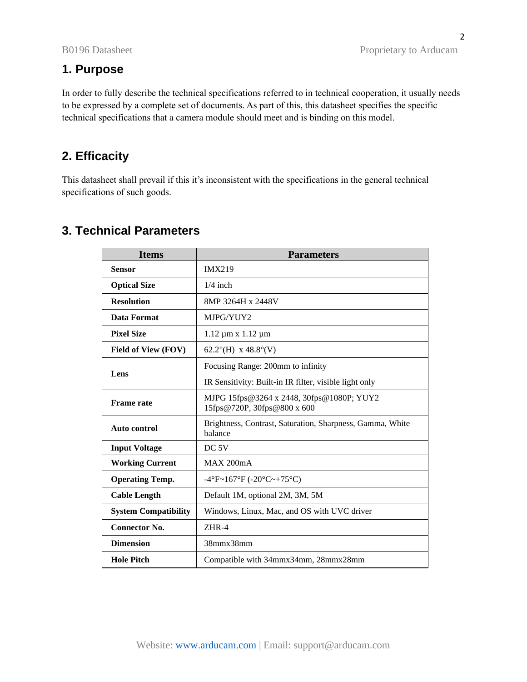2

## **1. Purpose**

In order to fully describe the technical specifications referred to in technical cooperation, it usually needs to be expressed by a complete set of documents. As part of this, this datasheet specifies the specific technical specifications that a camera module should meet and is binding on this model.

## **2. Efficacity**

This datasheet shall prevail if this it's inconsistent with the specifications in the general technical specifications of such goods.

| <b>Items</b>                | <b>Parameters</b>                                                        |  |
|-----------------------------|--------------------------------------------------------------------------|--|
| <b>Sensor</b>               | <b>IMX219</b>                                                            |  |
| <b>Optical Size</b>         | $1/4$ inch                                                               |  |
| <b>Resolution</b>           | 8MP 3264H x 2448V                                                        |  |
| Data Format                 | MJPG/YUY2                                                                |  |
| <b>Pixel Size</b>           | $1.12 \mu m \times 1.12 \mu m$                                           |  |
| Field of View (FOV)         | 62.2°(H) x 48.8°(V)                                                      |  |
|                             | Focusing Range: 200mm to infinity                                        |  |
| Lens                        | IR Sensitivity: Built-in IR filter, visible light only                   |  |
| <b>Frame</b> rate           | MJPG 15fps@3264 x 2448, 30fps@1080P; YUY2<br>15fps@720P, 30fps@800 x 600 |  |
| <b>Auto control</b>         | Brightness, Contrast, Saturation, Sharpness, Gamma, White<br>balance     |  |
| <b>Input Voltage</b>        | DC <sub>5V</sub>                                                         |  |
| <b>Working Current</b>      | MAX 200mA                                                                |  |
| <b>Operating Temp.</b>      | $-4^{\circ}F - 167^{\circ}F (-20^{\circ}C - 75^{\circ}C)$                |  |
| <b>Cable Length</b>         | Default 1M, optional 2M, 3M, 5M                                          |  |
| <b>System Compatibility</b> | Windows, Linux, Mac, and OS with UVC driver                              |  |
| <b>Connector No.</b>        | $ZHR-4$                                                                  |  |
| <b>Dimension</b>            | 38mmx38mm                                                                |  |
| <b>Hole Pitch</b>           | Compatible with 34mmx34mm, 28mmx28mm                                     |  |

# **3. Technical Parameters**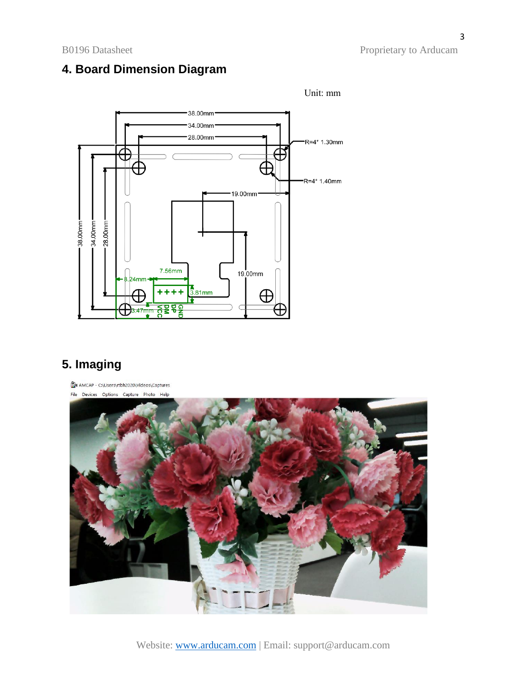B0196 Datasheet Proprietary to Arducam

# **4. Board Dimension Diagram**



# **5. Imaging**

AMCAP - C:\Users\rtbh2020\Videos\Captures

File Devices Options Capture Photo Help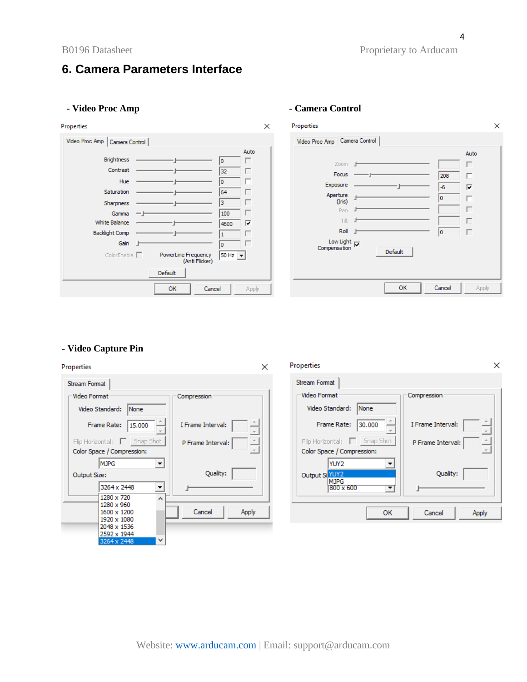#### **- Video Proc Amp - Camera Control**

#### **Properties**



#### Properties  $\times$ Video Proc Amp Camera Control Auto Zoom 1 П Focus  $\overline{a}$ 208  $\Box$ Exposure -÷F  $\sqrt{6}$  $\overline{\mathbf{v}}$ Aperture  $\mathbb{F}$  $\sqrt{2}$  $\Box$ (Iris) Pan J  $\Box$ - Tilt - Jim  $\Box$ Roll |  $\sqrt{2}$  $\Box$  $\begin{array}{c}\n\text{Low Light} \\
\hline\n\text{nonposition}\n\end{array}$ Compensation Default OK Cancel Apply

### **- Video Capture Pin**

| Properties                                                                                | ×                                   | Properties                                                                                                 | ×                                             |
|-------------------------------------------------------------------------------------------|-------------------------------------|------------------------------------------------------------------------------------------------------------|-----------------------------------------------|
| Stream Format                                                                             |                                     | Stream Format                                                                                              |                                               |
| -Video Format                                                                             | Compression                         | -Video Format ·                                                                                            | Compression                                   |
| Video Standard:<br>None                                                                   |                                     | Video Standard:<br>None                                                                                    |                                               |
| Frame Rate:<br>15.000                                                                     | I Frame Interval:                   | Frame Rate:<br>30,000                                                                                      | I Frame Interval:                             |
| Flip Horizontal:     Snap Shot<br>Color Space / Compression:                              | P Frame Interval:<br>$\overline{r}$ | Flip Horizontal:     Snap Shot<br>Color Space / Compression:                                               | P Frame Interval:<br>$\overline{\phantom{a}}$ |
| $\vert \cdot \vert$<br><b>MJPG</b><br>Output Size:<br>ᆋ<br>3264 x 2448<br>1280 x 720<br>A | Quality:                            | YUY2<br>$\overline{\phantom{a}}$<br>Output Si YUY2<br><b>MJPG</b><br>800 x 600<br>$\overline{\phantom{a}}$ | Quality:                                      |
| 1280 x 960<br>1600 x 1200<br>1920 x 1080<br>2048 x 1536<br>2592 x 1944<br>3064 v 0448     | Cancel<br>Apply                     | OK                                                                                                         | Cancel<br>Apply                               |

 $\times$ 

Website: [www.arducam.com](http://www.arducam.com/) | Email: support@arducam.com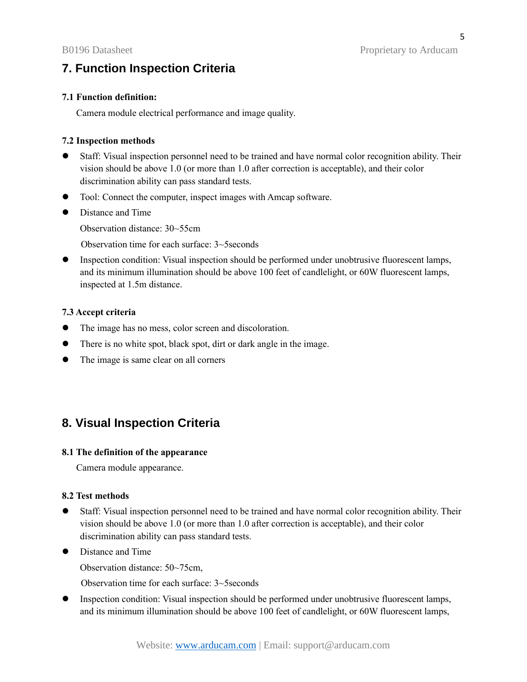# **7. Function Inspection Criteria**

#### **7.1 Function definition:**

Camera module electrical performance and image quality.

#### **7.2 Inspection methods**

- ⚫ Staff: Visual inspection personnel need to be trained and have normal color recognition ability. Their vision should be above 1.0 (or more than 1.0 after correction is acceptable), and their color discrimination ability can pass standard tests.
- Tool: Connect the computer, inspect images with Amcap software.
- Distance and Time

Observation distance: 30~55cm

Observation time for each surface: 3~5seconds

⚫ Inspection condition: Visual inspection should be performed under unobtrusive fluorescent lamps, and its minimum illumination should be above 100 feet of candlelight, or 60W fluorescent lamps, inspected at 1.5m distance.

#### **7.3 Accept criteria**

- ⚫ The image has no mess, color screen and discoloration.
- ⚫ There is no white spot, black spot, dirt or dark angle in the image.
- ⚫ The image is same clear on all corners

## **8. Visual Inspection Criteria**

### **8.1 The definition of the appearance**

Camera module appearance.

#### **8.2 Test methods**

- ⚫ Staff: Visual inspection personnel need to be trained and have normal color recognition ability. Their vision should be above 1.0 (or more than 1.0 after correction is acceptable), and their color discrimination ability can pass standard tests.
- Distance and Time

Observation distance: 50~75cm,

Observation time for each surface: 3~5seconds

⚫ Inspection condition: Visual inspection should be performed under unobtrusive fluorescent lamps, and its minimum illumination should be above 100 feet of candlelight, or 60W fluorescent lamps,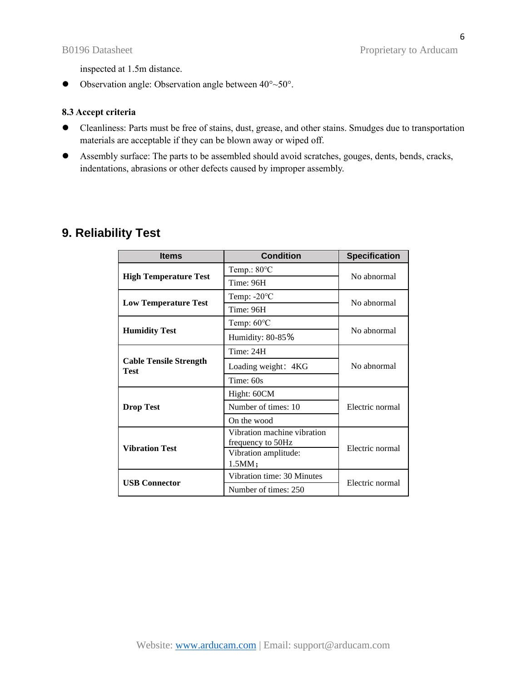inspected at 1.5m distance.

 $\bullet$  Observation angle: Observation angle between  $40^{\circ}$  ~50°.

#### **8.3 Accept criteria**

- ⚫ Cleanliness: Parts must be free of stains, dust, grease, and other stains. Smudges due to transportation materials are acceptable if they can be blown away or wiped off.
- ⚫ Assembly surface: The parts to be assembled should avoid scratches, gouges, dents, bends, cracks, indentations, abrasions or other defects caused by improper assembly.

# **9. Reliability Test**

| <b>Items</b>                                 | <b>Condition</b>                                 | <b>Specification</b> |  |
|----------------------------------------------|--------------------------------------------------|----------------------|--|
|                                              | Temp.: $80^{\circ}$ C                            | No abnormal          |  |
| <b>High Temperature Test</b>                 | Time: 96H                                        |                      |  |
|                                              | Temp: $-20^{\circ}$ C                            | No abnormal          |  |
| <b>Low Temperature Test</b>                  | Time: 96H                                        |                      |  |
|                                              | Temp: $60^{\circ}$ C                             | No abnormal          |  |
| <b>Humidity Test</b>                         | Humidity: 80-85%                                 |                      |  |
|                                              | Time: 24H                                        | No abnormal          |  |
| <b>Cable Tensile Strength</b><br><b>Test</b> | Loading weight: 4KG                              |                      |  |
|                                              | Time: 60s                                        |                      |  |
|                                              | Hight: 60CM                                      | Electric normal      |  |
| <b>Drop Test</b>                             | Number of times: 10                              |                      |  |
|                                              | On the wood                                      |                      |  |
|                                              | Vibration machine vibration<br>frequency to 50Hz | Electric normal      |  |
| <b>Vibration Test</b>                        | Vibration amplitude:<br>1.5MM;                   |                      |  |
|                                              | Vibration time: 30 Minutes                       |                      |  |
| <b>USB Connector</b>                         | Number of times: 250                             | Electric normal      |  |